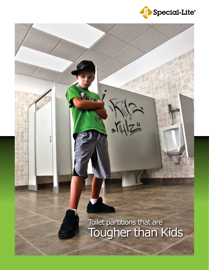

Tougher than Kids Toilet partitions that are

MESTER 19

n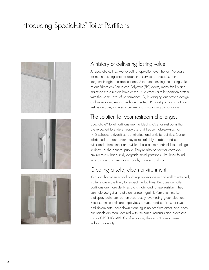### Introducing Special-Lite® Toilet Partitions



#### A history of delivering lasting value

At Special-Lite, Inc., we've built a reputation over the last 40 years for manufacturing exterior doors that survive for decades in the toughest imaginable applications. After experiencing the lasting value of our Fiberglass Reinforced Polyester (FRP) doors, many facility and maintenance directors have asked us to create a toilet partition system with that same level of performance. By leveraging our proven design and superior materials, we have created FRP toilet partitions that are just as durable, maintenance-free and long lasting as our doors.

#### The solution for your restroom challenges

Special-Lite® Toilet Partitions are the ideal choice for restrooms that are expected to endure heavy use and frequent abuse—such as K-12 schools, universities, dormitories, and athletic facilities. Custom fabricated for each order, they're remarkably durable, and can withstand mistreatment and willful abuse at the hands of kids, college students, or the general public. They're also perfect for corrosive environments that quickly degrade metal partitions, like those found in and around locker rooms, pools, showers and spas.

#### Creating a safe, clean environment

It's a fact that when school buildings appear clean and well maintained, students are more likely to respect the facilities. Because our toilet partitions are more dent-, scratch-, stain- and tamper-resistant, they can help you get a handle on restroom graffiti. Permanent marker and spray paint can be removed easily, even using green cleaners. Because our panels are impervious to water and can't rust or swell and delaminate, hose-down cleaning is no problem either. And since our panels are manufactured with the same materials and processes as our GREENGUARD Certified doors, they won't compromise indoor air quality.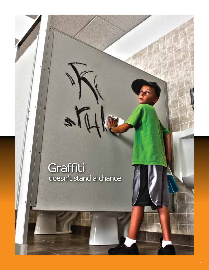## **Graffiti** doesn't stand a chance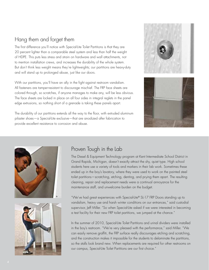#### Hang them and forget them

The first difference you'll notice with Special-Lite Toilet Partitions is that they are 20 percent lighter than a comparable steel system and less than half the weight of HDPE. This puts less stress and strain on hardware and wall attachments, not to mention installation crews, and increases the durability of the whole system. But don't think less weight means they're lightweights; our partitions are heavy-duty and will stand up to prolonged abuse, just like our doors.

With our partitions, you'll have an ally in the fight against restroom vandalism. All fasteners are tamper-resistant to discourage mischief. The FRP face sheets are colored through, so scratches, if anyone manages to make any, will be less obvious. The face sheets are locked in place on all four sides in integral reglets in the panel edge extrusions, so nothing short of a grenade is taking these panels apart.

The durability of our partitions extends all the way to the floor, with extruded aluminum pilaster shoes—a Special-Lite exclusive—that are anodized after fabrication to provide excellent resistance to corrosion and abuse.







#### Proven Tough in the Lab

The Diesel & Equipment Technology program at Kent Intermediate School District in Grand Rapids, Michigan, doesn't exactly attract the shy, quiet type. High school students here use a variety of tools and markers in their lab work. Sometimes these ended up in the boy's lavatory, where they were used to work on the painted steel toilet partitions—scratching, etching, denting, and prying them apart. The resulting cleaning, repair and replacement needs were a continual annoyance for the maintenance staff, and unwelcome burden on the budget.

"We've had great experiences with Special-Lite® SL-17 FRP Doors standing up to vandalism, heavy use and harsh winter conditions on our entrances," said custodial supervisor, Jeff Miller. "So when Special-Lite asked if we were interested in becoming a test facility for their new FRP toilet partitions, we jumped at the chance."

In the summer of 2010, Special-Lite Toilet Partitions and urinal dividers were installed in the boy's restroom. "We're very pleased with the performance," said Miller. "We can easily remove graffiti, the FRP surface really discourages etching and scratching, and the construction makes it impossible for the students to delaminate the partitions, so the stalls look brand new. When replacements are required for other restrooms on our campus, Special-Lite Toilet Partitions are our first choice."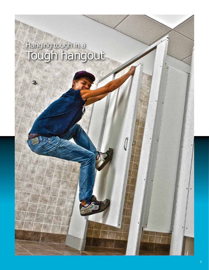# Hanging tough in a<br>Tough hangout

J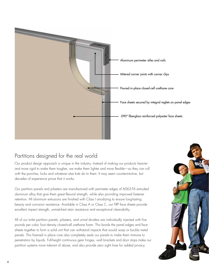

#### Partitions designed for the real world

Our product design approach is unique in the industry. Instead of making our products heavier and more rigid to make them tougher, we make them lighter and more flexible—so they can roll with the punches, kicks and whatever else kids do to them. It may seem counterintuitive, but decades of experience prove that it works.

Our partition panels and pilasters are manufactured with perimeter edges of 6063-T6 extruded aluminum alloy that give them great flexural strength, while also providing improved fastener retention. All aluminum extrusions are finished with Class I anodizing to ensure long-lasting beauty and corrosion resistance. Available in Class A or Class C, our FRP face sheets provide excellent impact strength, unmatched stain resistance and exceptional cleanability.

All of our toilet partition panels, pilasters, and urinal dividers are individually injected with five pounds per cubic foot density closed-cell urethane foam. This bonds the panel edges and face sheets together to form a solid unit that can withstand impacts that would warp or buckle metal panels. This foamed in place core also completely seals our panels to make them immune to penetration by liquids. Full-height continuous gear hinges, wall brackets and door stops make our partition systems more tolerant of abuse, and also provide zero sight lines for added privacy.

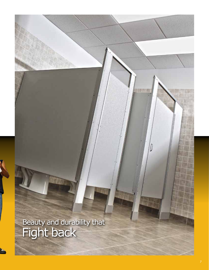Beauty and durability that<br>Fight back

 $\begin{matrix} \end{matrix}$